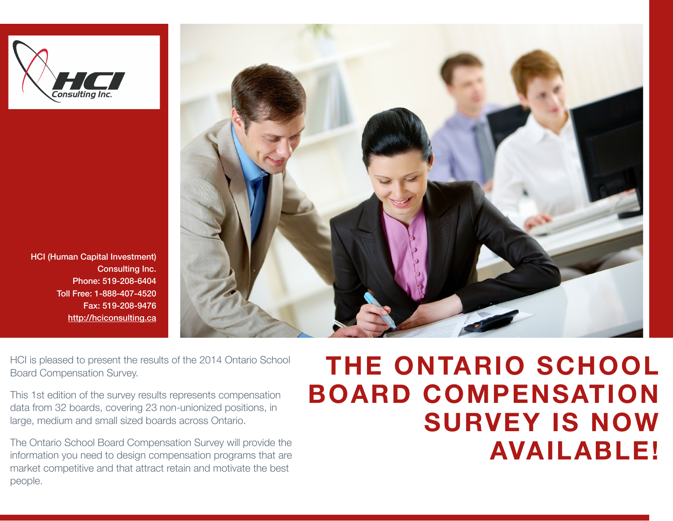

HCI (Human Capital Investment) Consulting Inc. Phone: 519-208-6404 Toll Free: 1-888-407-4520 Fax: 519-208-9476 <http://hciconsulting.ca>



HCI is pleased to present the results of the 2014 Ontario School Board Compensation Survey.

This 1st edition of the survey results represents compensation data from 32 boards, covering 23 non-unionized positions, in large, medium and small sized boards across Ontario.

The Ontario School Board Compensation Survey will provide the information you need to design compensation programs that are market competitive and that attract retain and motivate the best people.

## **THE ONTARIO SCHOOL BOARD COMPENSATION SURVEY IS NOW AVAILABLE!**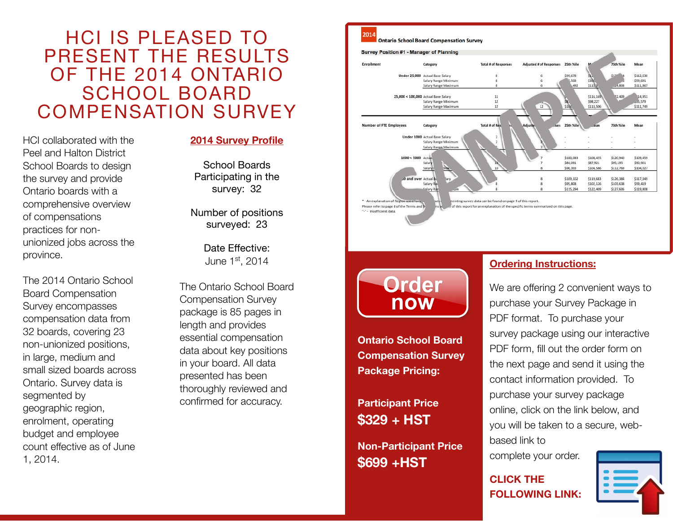## HCI IS PLEASED TO PRESENT THE RESULTS OF THE 2014 ONTARIO SCHOOL BOARD COMPENSATION SURVEY

HCI collaborated with the Peel and Halton District School Boards to design the survey and provide Ontario boards with a comprehensive overview of compensations practices for nonunionized jobs across the province.

The 2014 Ontario School Board Compensation Survey encompasses compensation data from 32 boards, covering 23 non-unionized positions, in large, medium and small sized boards across Ontario. Survey data is segmented by geographic region, enrolment, operating budget and employee count effective as of June 1, 2014.

## **2014 Survey Profile**

School Boards Participating in the survey: 32

Number of positions surveyed: 23

> Date Effective: June 1st, 2014

The Ontario School Board Compensation Survey package is 85 pages in length and provides essential compensation data about key positions in your board. All data presented has been thoroughly reviewed and confirmed for accuracy.



2014

Enrollment

Number of FTE Employees

\* - An explanation of Region Please refer to page 8 of the Terms and D

-\*- Insufficient data

**Ontario School Board Compensation Survey** 

Categor

Category **Under 1000 Actual Base Salary** Salary Range Minimu Salary Range Maximur

Salar

Salary

Salary R

Salary Range Minimun

Salary Range Maximum

Salary Range Minimun

Salary Range Maximum

Under 25,000 Actual Base Salary

25,000 < 100,000 Actual Base Salary

 $1000 < 5000 \text{ Act}$ 

and over Actual

Total # of Response

 $11$  $12$ 

nting survey data can be found on page 9 of this report

of this report for an explanation of the specific terms summarized on this page

Total # of

Adjusted # of Re-

 $12$ 

25th %ile

\$99.678

508

\$100,083

\$84,091

\$95,392

\$109.102

\$95,808

\$115.294

\$115

\$116,169

\$98,227

\$113,506

\$108,455

\$87,921

\$104,586

\$119,683

\$102.126

\$122,409

seb 4cile

\$120,940

\$95,195

\$112,769

\$126,384

\$103,638

\$127,606

\$112,630

\$99,691

\$111,867

14.951

35,579

\$111,749

\$109,459

\$90.921

\$104,027

\$117,049

\$99,419

\$119,808

Survey Position #1 - Manager of Planning

**Ontario School Board Compensation Survey Package Pricing:** 

**Participant Price \$329 + HST**

**Non-Participant Price \$699 +HST** 

## **Ordering Instructions:**

We are offering 2 convenient ways to purchase your Survey Package in PDF format. To purchase your survey package using our interactive PDF form, fill out the order form on the next page and send it using the contact information provided. To purchase your survey package online, click on the link below, and you will be taken to a secure, webbased link to

complete your order.

**CLICK THE FOLLOWING LINK:**